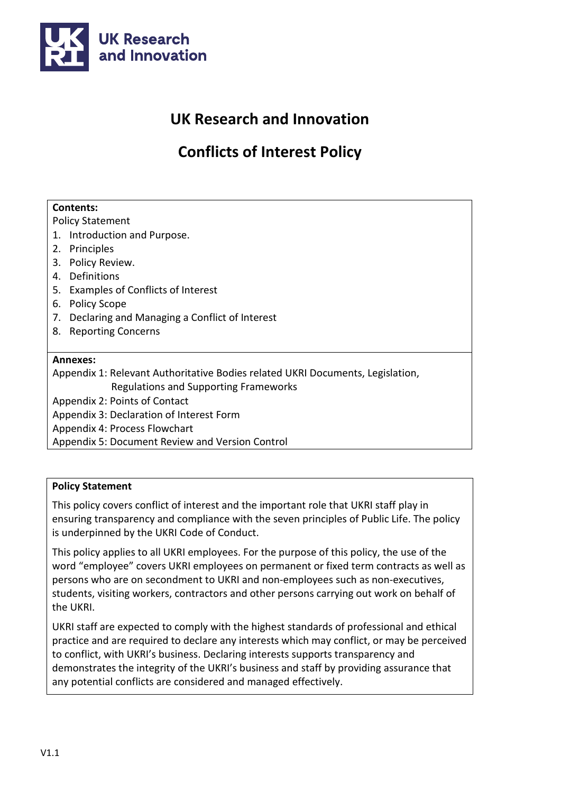

# **UK Research and Innovation**

# **Conflicts of Interest Policy**

#### **Contents:**

Policy Statement

- 1. Introduction and Purpose.
- 2. Principles
- 3. Policy Review.
- 4. Definitions
- 5. Examples of Conflicts of Interest
- 6. Policy Scope
- 7. Declaring and Managing a Conflict of Interest
- 8. Reporting Concerns

#### **Annexes:**

Appendix 1: Relevant Authoritative Bodies related UKRI Documents, Legislation, Regulations and Supporting Frameworks

Appendix 2: Points of Contact

Appendix 3: Declaration of Interest Form

Appendix 4: Process Flowchart

Appendix 5: Document Review and Version Control

#### **Policy Statement**

This policy covers conflict of interest and the important role that UKRI staff play in ensuring transparency and compliance with the seven principles of Public Life. The policy is underpinned by the UKRI Code of Conduct.

This policy applies to all UKRI employees. For the purpose of this policy, the use of the word "employee" covers UKRI employees on permanent or fixed term contracts as well as persons who are on secondment to UKRI and non-employees such as non-executives, students, visiting workers, contractors and other persons carrying out work on behalf of the UKRI.

UKRI staff are expected to comply with the highest standards of professional and ethical practice and are required to declare any interests which may conflict, or may be perceived to conflict, with UKRI's business. Declaring interests supports transparency and demonstrates the integrity of the UKRI's business and staff by providing assurance that any potential conflicts are considered and managed effectively.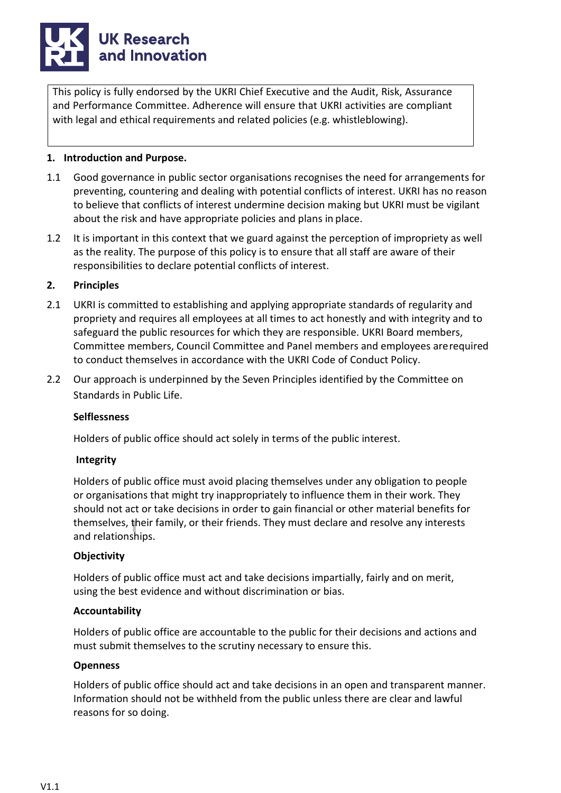# **UK Research** and Innovation

This policy is fully endorsed by the UKRI Chief Executive and the Audit, Risk, Assurance and Performance Committee. Adherence will ensure that UKRI activities are compliant with legal and ethical requirements and related policies (e.g. whistleblowing).

#### **1. Introduction and Purpose.**

- 1.1 Good governance in public sector organisations recognises the need for arrangements for preventing, countering and dealing with potential conflicts of interest. UKRI has no reason to believe that conflicts of interest undermine decision making but UKRI must be vigilant about the risk and have appropriate policies and plans in place.
- 1.2 It is important in this context that we guard against the perception of impropriety as well as the reality. The purpose of this policy is to ensure that all staff are aware of their responsibilities to declare potential conflicts of interest.

#### **2. Principles**

- 2.1 UKRI is committed to establishing and applying appropriate standards of regularity and propriety and requires all employees at all times to act honestly and with integrity and to safeguard the public resources for which they are responsible. UKRI Board members, Committee members, Council Committee and Panel members and employees arerequired to conduct themselves in accordance with the UKRI Code of Conduct Policy.
- 2.2 Our approach is underpinned by the Seven Principles identified by the Committee on Standards in Public Life.

#### **Selflessness**

Holders of public office should act solely in terms of the public interest.

#### **Integrity**

Holders of public office must avoid placing themselves under any obligation to people or organisations that might try inappropriately to influence them in their work. They should not act or take decisions in order to gain financial or other material benefits for themselves, their family, or their friends. They must declare and resolve any interests and relationships.

#### **Objectivity**

Holders of public office must act and take decisions impartially, fairly and on merit, using the best evidence and without discrimination or bias.

#### **Accountability**

Holders of public office are accountable to the public for their decisions and actions and must submit themselves to the scrutiny necessary to ensure this.

#### **Openness**

Holders of public office should act and take decisions in an open and transparent manner. Information should not be withheld from the public unless there are clear and lawful reasons for so doing.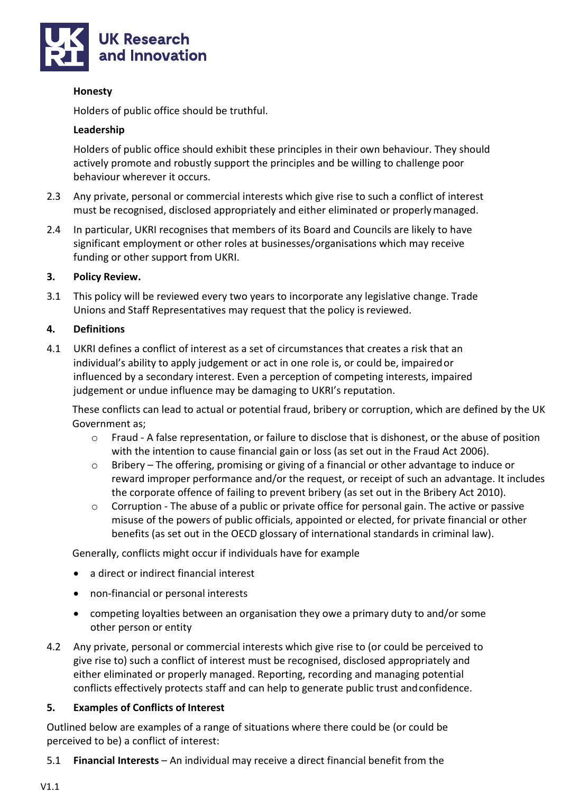

#### **Honesty**

Holders of public office should be truthful.

#### **Leadership**

Holders of public office should exhibit these principles in their own behaviour. They should actively promote and robustly support the principles and be willing to challenge poor behaviour wherever it occurs.

- 2.3 Any private, personal or commercial interests which give rise to such a conflict of interest must be recognised, disclosed appropriately and either eliminated or properlymanaged.
- 2.4 In particular, UKRI recognises that members of its Board and Councils are likely to have significant employment or other roles at businesses/organisations which may receive funding or other support from UKRI.

#### **3. Policy Review.**

3.1 This policy will be reviewed every two years to incorporate any legislative change. Trade Unions and Staff Representatives may request that the policy is reviewed.

#### **4. Definitions**

4.1 UKRI defines a conflict of interest as a set of circumstances that creates a risk that an individual's ability to apply judgement or act in one role is, or could be, impairedor influenced by a secondary interest. Even a perception of competing interests, impaired judgement or undue influence may be damaging to UKRI's reputation.

These conflicts can lead to actual or potential fraud, bribery or corruption, which are defined by the UK Government as;

- o Fraud A false representation, or failure to disclose that is dishonest, or the abuse of position with the intention to cause financial gain or loss (as set out in the Fraud Act 2006).
- o Bribery The offering, promising or giving of a financial or other advantage to induce or reward improper performance and/or the request, or receipt of such an advantage. It includes the corporate offence of failing to prevent bribery (as set out in the Bribery Act 2010).
- $\circ$  Corruption The abuse of a public or private office for personal gain. The active or passive misuse of the powers of public officials, appointed or elected, for private financial or other benefits (as set out in the OECD glossary of international standards in criminal law).

Generally, conflicts might occur if individuals have for example

- a direct or indirect financial interest
- non-financial or personal interests
- competing loyalties between an organisation they owe a primary duty to and/or some other person or entity
- 4.2 Any private, personal or commercial interests which give rise to (or could be perceived to give rise to) such a conflict of interest must be recognised, disclosed appropriately and either eliminated or properly managed. Reporting, recording and managing potential conflicts effectively protects staff and can help to generate public trust andconfidence.

#### **5. Examples of Conflicts of Interest**

Outlined below are examples of a range of situations where there could be (or could be perceived to be) a conflict of interest:

5.1 **Financial Interests** – An individual may receive a direct financial benefit from the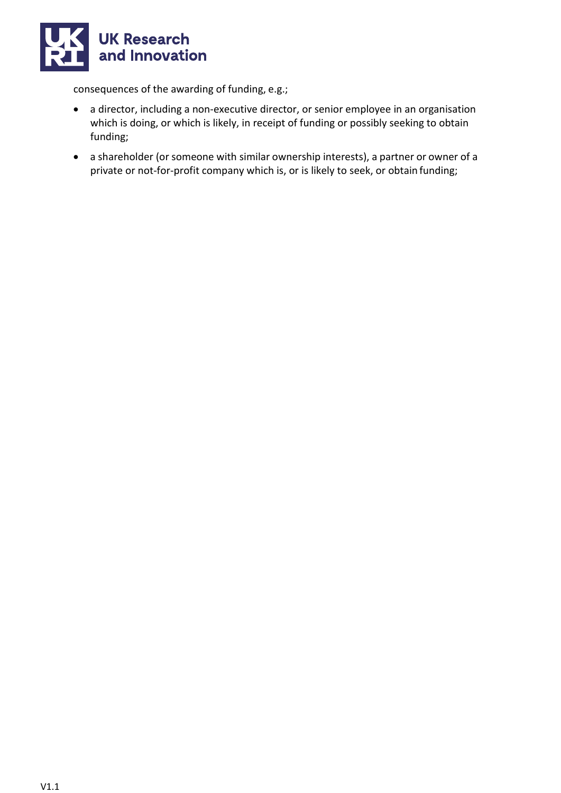

consequences of the awarding of funding, e.g.;

- a director, including a non-executive director, or senior employee in an organisation which is doing, or which is likely, in receipt of funding or possibly seeking to obtain funding;
- a shareholder (or someone with similar ownership interests), a partner or owner of a private or not-for-profit company which is, or is likely to seek, or obtain funding;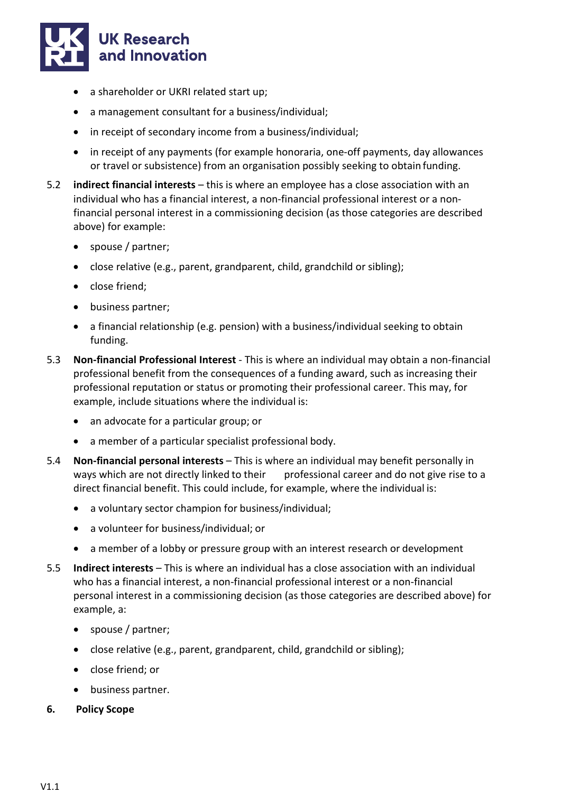

- a shareholder or UKRI related start up;
- a management consultant for a business/individual;
- in receipt of secondary income from a business/individual;
- in receipt of any payments (for example honoraria, one-off payments, day allowances or travel or subsistence) from an organisation possibly seeking to obtain funding.
- 5.2 **indirect financial interests**  this is where an employee has a close association with an individual who has a financial interest, a non-financial professional interest or a nonfinancial personal interest in a commissioning decision (as those categories are described above) for example:
	- spouse / partner;
	- close relative (e.g., parent, grandparent, child, grandchild or sibling);
	- close friend;
	- business partner;
	- a financial relationship (e.g. pension) with a business/individual seeking to obtain funding.
- 5.3 **Non-financial Professional Interest**  This is where an individual may obtain a non-financial professional benefit from the consequences of a funding award, such as increasing their professional reputation or status or promoting their professional career. This may, for example, include situations where the individual is:
	- an advocate for a particular group; or
	- a member of a particular specialist professional body.
- 5.4 **Non-financial personal interests**  This is where an individual may benefit personally in ways which are not directly linked to their professional career and do not give rise to a direct financial benefit. This could include, for example, where the individual is:
	- a voluntary sector champion for business/individual;
	- a volunteer for business/individual; or
	- a member of a lobby or pressure group with an interest research or development
- 5.5 **Indirect interests**  This is where an individual has a close association with an individual who has a financial interest, a non-financial professional interest or a non-financial personal interest in a commissioning decision (as those categories are described above) for example, a:
	- spouse / partner;
	- close relative (e.g., parent, grandparent, child, grandchild or sibling);
	- close friend; or
	- business partner.
- **6. Policy Scope**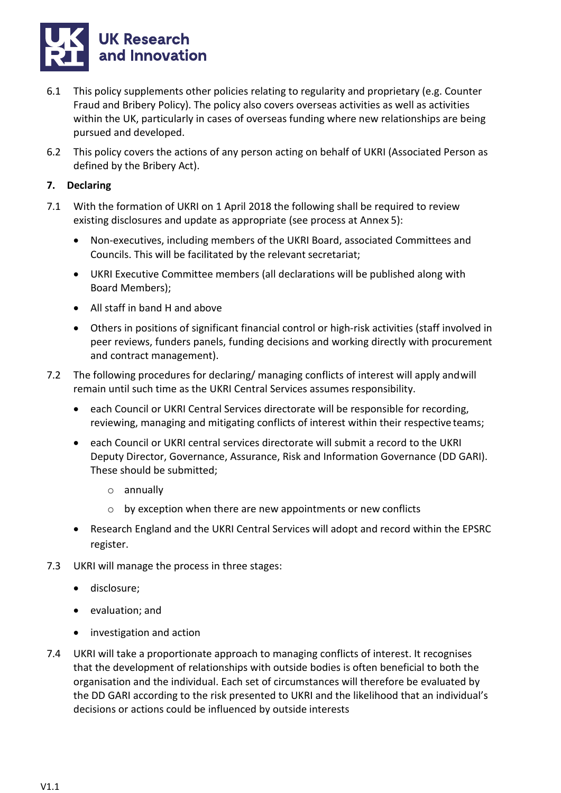

- 6.1 This policy supplements other policies relating to regularity and proprietary (e.g. Counter Fraud and Bribery Policy). The policy also covers overseas activities as well as activities within the UK, particularly in cases of overseas funding where new relationships are being pursued and developed.
- 6.2 This policy covers the actions of any person acting on behalf of UKRI (Associated Person as defined by the Bribery Act).

#### **7. Declaring**

- 7.1 With the formation of UKRI on 1 April 2018 the following shall be required to review existing disclosures and update as appropriate (see process at Annex 5):
	- Non-executives, including members of the UKRI Board, associated Committees and Councils. This will be facilitated by the relevant secretariat;
	- UKRI Executive Committee members (all declarations will be published along with Board Members);
	- All staff in band H and above
	- Others in positions of significant financial control or high-risk activities (staff involved in peer reviews, funders panels, funding decisions and working directly with procurement and contract management).
- 7.2 The following procedures for declaring/ managing conflicts of interest will apply andwill remain until such time as the UKRI Central Services assumes responsibility.
	- each Council or UKRI Central Services directorate will be responsible for recording, reviewing, managing and mitigating conflicts of interest within their respective teams;
	- each Council or UKRI central services directorate will submit a record to the UKRI Deputy Director, Governance, Assurance, Risk and Information Governance (DD GARI). These should be submitted;
		- o annually
		- by exception when there are new appointments or new conflicts
	- Research England and the UKRI Central Services will adopt and record within the EPSRC register.
- 7.3 UKRI will manage the process in three stages:
	- disclosure;
	- evaluation; and
	- investigation and action
- 7.4 UKRI will take a proportionate approach to managing conflicts of interest. It recognises that the development of relationships with outside bodies is often beneficial to both the organisation and the individual. Each set of circumstances will therefore be evaluated by the DD GARI according to the risk presented to UKRI and the likelihood that an individual's decisions or actions could be influenced by outside interests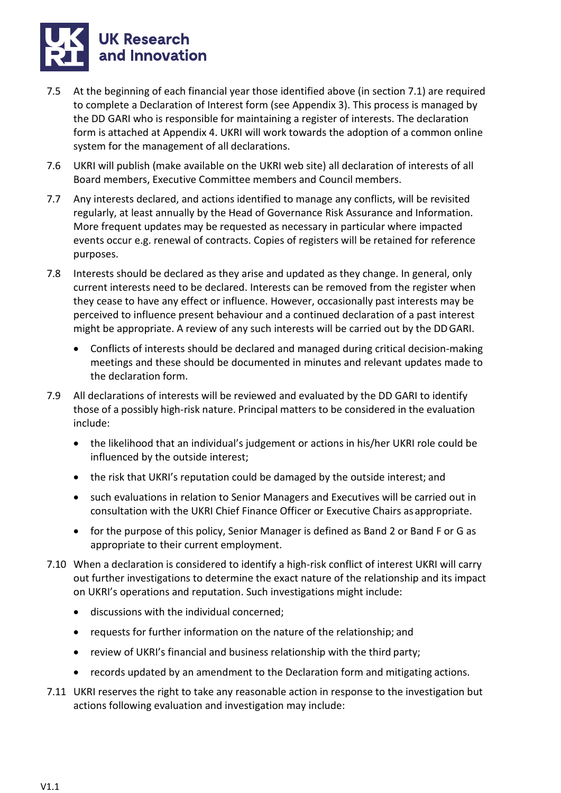

- 7.5 At the beginning of each financial year those identified above (in section 7.1) are required to complete a Declaration of Interest form (see Appendix 3). This process is managed by the DD GARI who is responsible for maintaining a register of interests. The declaration form is attached at Appendix 4. UKRI will work towards the adoption of a common online system for the management of all declarations.
- 7.6 UKRI will publish (make available on the UKRI web site) all declaration of interests of all Board members, Executive Committee members and Council members.
- 7.7 Any interests declared, and actions identified to manage any conflicts, will be revisited regularly, at least annually by the Head of Governance Risk Assurance and Information. More frequent updates may be requested as necessary in particular where impacted events occur e.g. renewal of contracts. Copies of registers will be retained for reference purposes.
- 7.8 Interests should be declared as they arise and updated as they change. In general, only current interests need to be declared. Interests can be removed from the register when they cease to have any effect or influence. However, occasionally past interests may be perceived to influence present behaviour and a continued declaration of a past interest might be appropriate. A review of any such interests will be carried out by the DDGARI.
	- Conflicts of interests should be declared and managed during critical decision-making meetings and these should be documented in minutes and relevant updates made to the declaration form.
- 7.9 All declarations of interests will be reviewed and evaluated by the DD GARI to identify those of a possibly high-risk nature. Principal matters to be considered in the evaluation include:
	- the likelihood that an individual's judgement or actions in his/her UKRI role could be influenced by the outside interest;
	- the risk that UKRI's reputation could be damaged by the outside interest; and
	- such evaluations in relation to Senior Managers and Executives will be carried out in consultation with the UKRI Chief Finance Officer or Executive Chairs asappropriate.
	- for the purpose of this policy, Senior Manager is defined as Band 2 or Band F or G as appropriate to their current employment.
- 7.10 When a declaration is considered to identify a high-risk conflict of interest UKRI will carry out further investigations to determine the exact nature of the relationship and its impact on UKRI's operations and reputation. Such investigations might include:
	- discussions with the individual concerned;
	- requests for further information on the nature of the relationship; and
	- review of UKRI's financial and business relationship with the third party;
	- records updated by an amendment to the Declaration form and mitigating actions.
- 7.11 UKRI reserves the right to take any reasonable action in response to the investigation but actions following evaluation and investigation may include: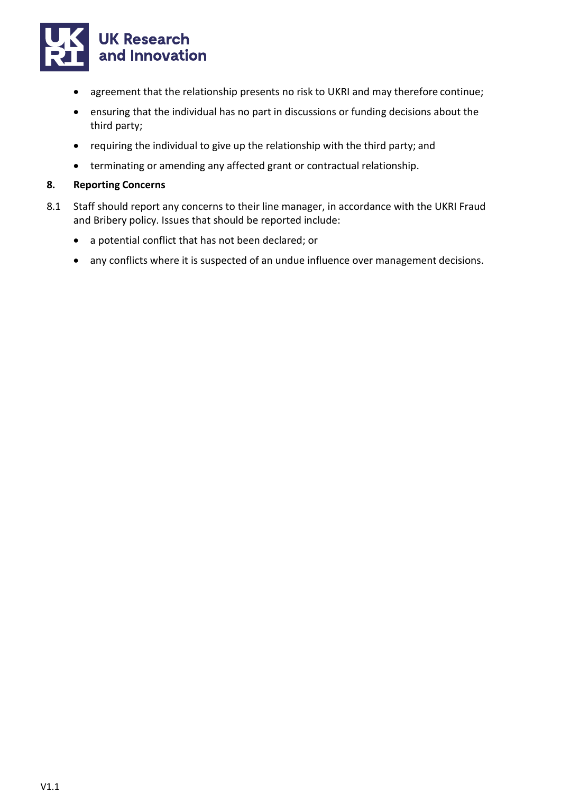

- agreement that the relationship presents no risk to UKRI and may therefore continue;
- ensuring that the individual has no part in discussions or funding decisions about the third party;
- requiring the individual to give up the relationship with the third party; and
- terminating or amending any affected grant or contractual relationship.

#### **8. Reporting Concerns**

- 8.1 Staff should report any concerns to their line manager, in accordance with the UKRI Fraud and Bribery policy. Issues that should be reported include:
	- a potential conflict that has not been declared; or
	- any conflicts where it is suspected of an undue influence over management decisions.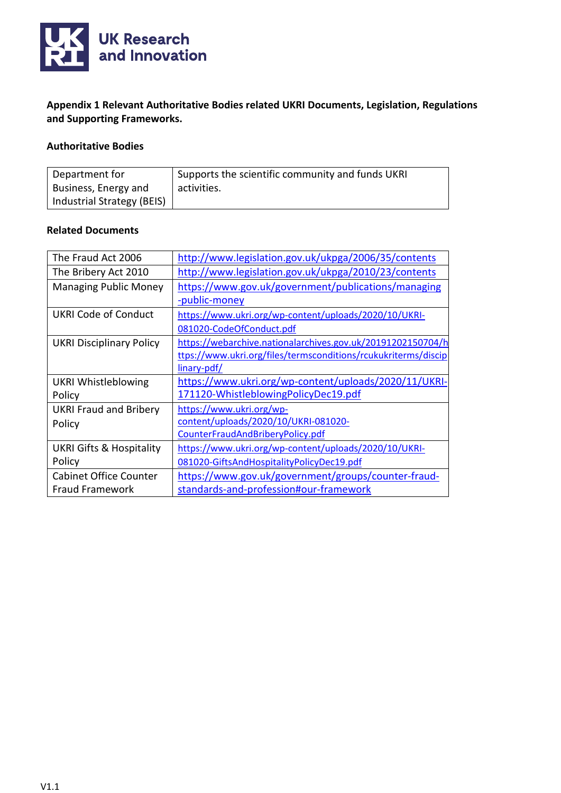

**Appendix 1 Relevant Authoritative Bodies related UKRI Documents, Legislation, Regulations and Supporting Frameworks.**

#### **Authoritative Bodies**

| Department for             | Supports the scientific community and funds UKRI |
|----------------------------|--------------------------------------------------|
| Business, Energy and       | activities.                                      |
| Industrial Strategy (BEIS) |                                                  |

#### **Related Documents**

| The Fraud Act 2006                  | http://www.legislation.gov.uk/ukpga/2006/35/contents           |
|-------------------------------------|----------------------------------------------------------------|
| The Bribery Act 2010                | http://www.legislation.gov.uk/ukpga/2010/23/contents           |
| <b>Managing Public Money</b>        | https://www.gov.uk/government/publications/managing            |
|                                     | -public-money                                                  |
| <b>UKRI Code of Conduct</b>         | https://www.ukri.org/wp-content/uploads/2020/10/UKRI-          |
|                                     | 081020-CodeOfConduct.pdf                                       |
| <b>UKRI Disciplinary Policy</b>     | https://webarchive.nationalarchives.gov.uk/20191202150704/h    |
|                                     | ttps://www.ukri.org/files/termsconditions/rcukukriterms/discip |
|                                     | linary-pdf/                                                    |
| <b>UKRI Whistleblowing</b>          | https://www.ukri.org/wp-content/uploads/2020/11/UKRI-          |
| Policy                              | 171120-WhistleblowingPolicyDec19.pdf                           |
| <b>UKRI Fraud and Bribery</b>       | https://www.ukri.org/wp-                                       |
| Policy                              | content/uploads/2020/10/UKRI-081020-                           |
|                                     | CounterFraudAndBriberyPolicy.pdf                               |
| <b>UKRI Gifts &amp; Hospitality</b> | https://www.ukri.org/wp-content/uploads/2020/10/UKRI-          |
| Policy                              | 081020-GiftsAndHospitalityPolicyDec19.pdf                      |
| <b>Cabinet Office Counter</b>       | https://www.gov.uk/government/groups/counter-fraud-            |
| Fraud Framework                     | standards-and-profession#our-framework                         |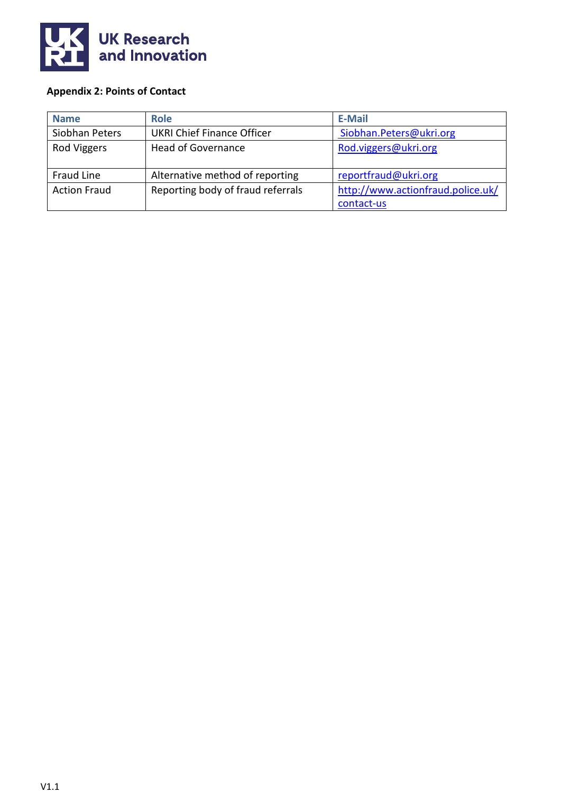

## **Appendix 2: Points of Contact**

| <b>Name</b>         | <b>Role</b>                       | <b>E-Mail</b>                     |
|---------------------|-----------------------------------|-----------------------------------|
| Siobhan Peters      | <b>UKRI Chief Finance Officer</b> | Siobhan.Peters@ukri.org           |
| Rod Viggers         | <b>Head of Governance</b>         | Rod.viggers@ukri.org              |
|                     |                                   |                                   |
| Fraud Line          | Alternative method of reporting   | reportfraud@ukri.org              |
| <b>Action Fraud</b> | Reporting body of fraud referrals | http://www.actionfraud.police.uk/ |
|                     |                                   | contact-us                        |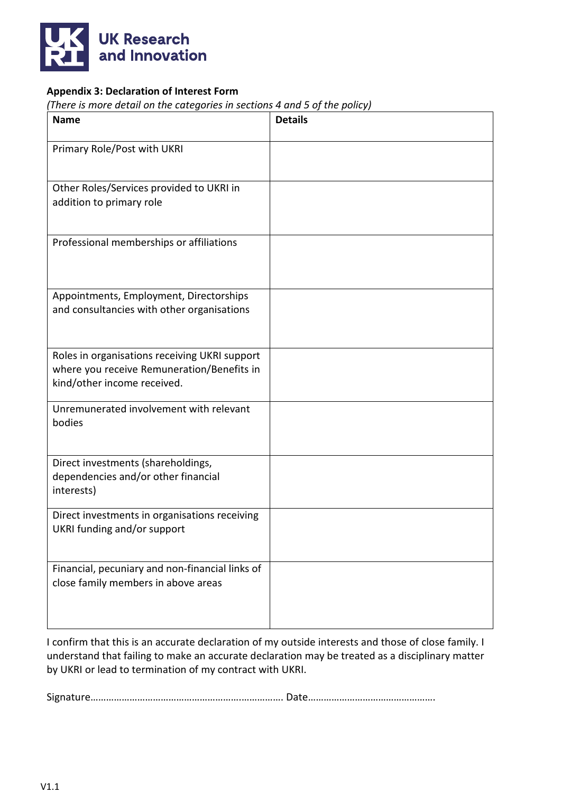

## **Appendix 3: Declaration of Interest Form**

*(There is more detail on the categories in sections 4 and 5 of the policy)*

| <b>Name</b>                                                                                                                | <b>Details</b> |
|----------------------------------------------------------------------------------------------------------------------------|----------------|
| Primary Role/Post with UKRI                                                                                                |                |
| Other Roles/Services provided to UKRI in<br>addition to primary role                                                       |                |
| Professional memberships or affiliations                                                                                   |                |
| Appointments, Employment, Directorships<br>and consultancies with other organisations                                      |                |
| Roles in organisations receiving UKRI support<br>where you receive Remuneration/Benefits in<br>kind/other income received. |                |
| Unremunerated involvement with relevant<br>bodies                                                                          |                |
| Direct investments (shareholdings,<br>dependencies and/or other financial<br>interests)                                    |                |
| Direct investments in organisations receiving<br>UKRI funding and/or support                                               |                |
| Financial, pecuniary and non-financial links of<br>close family members in above areas                                     |                |

I confirm that this is an accurate declaration of my outside interests and those of close family. I understand that failing to make an accurate declaration may be treated as a disciplinary matter by UKRI or lead to termination of my contract with UKRI.

Signature………………………………………………….……………. Date………………………………………….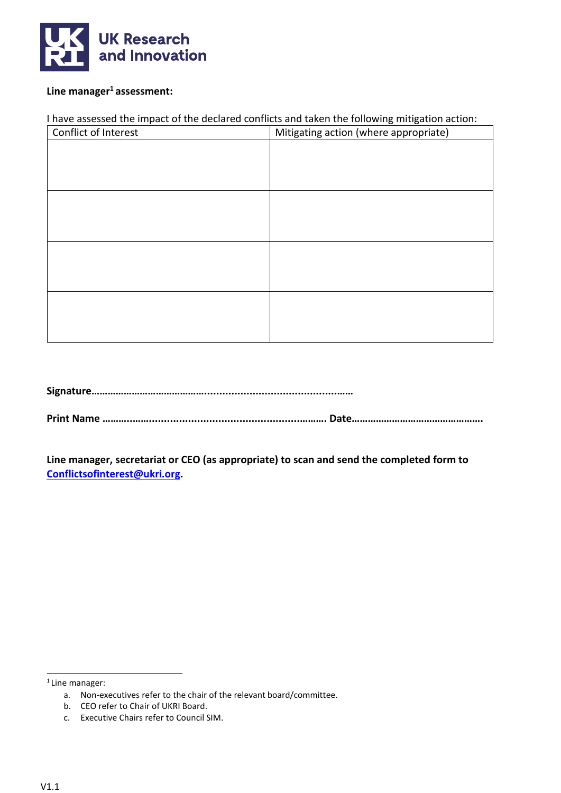

#### Line manager<sup>1</sup> assessment:

#### I have assessed the impact of the declared conflicts and taken the following mitigation action:

| Conflict of Interest | Mitigating action (where appropriate) |
|----------------------|---------------------------------------|
|                      |                                       |
|                      |                                       |
|                      |                                       |
|                      |                                       |
|                      |                                       |
|                      |                                       |
|                      |                                       |
|                      |                                       |
|                      |                                       |
|                      |                                       |
|                      |                                       |
|                      |                                       |

**Signature……………………………………............................................……**

**Print Name ………..……..................................................………. Date………………………………………….**

**Line manager, secretariat or CEO (as appropriate) to scan and send the completed form to [Conflictsofinterest@ukri.org.](mailto:Conflictsofinterest@ukri.org)**

 $1$  Line manager:

a. Non-executives refer to the chair of the relevant board/committee.

b. CEO refer to Chair of UKRI Board.

c. Executive Chairs refer to Council SIM.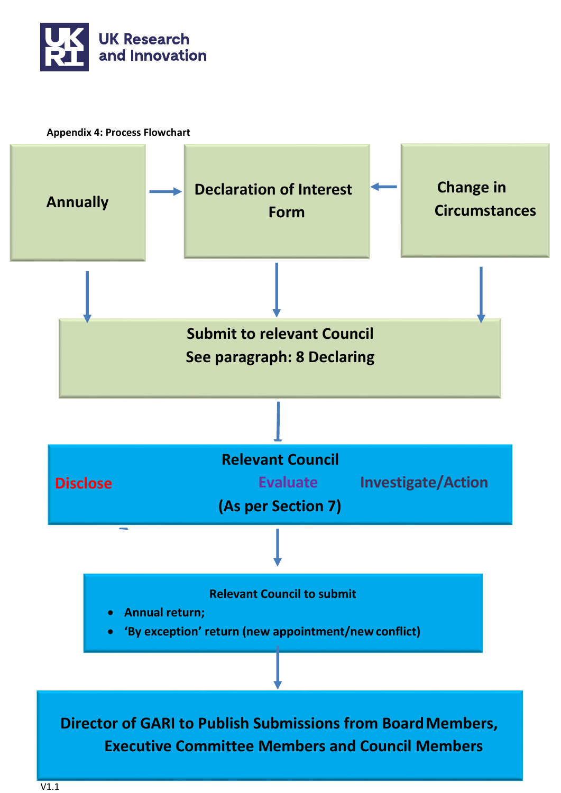

**Appendix 4: Process Flowchart**